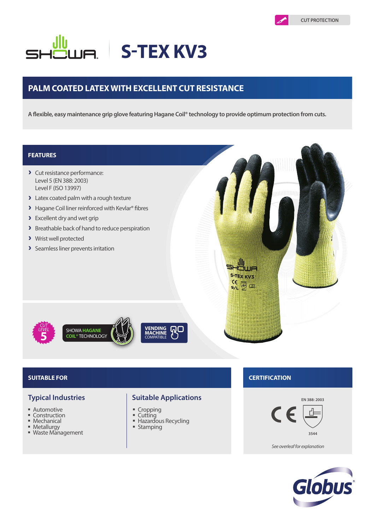# **S-TEX KV3**

# **PALM COATED LATEX WITH EXCELLENT CUT RESISTANCE**

**A flexible, easy maintenance grip glove featuring Hagane Coil® technology to provide optimum protection from cuts.**

## **FEATURES**

- > Cut resistance performance: Level 5 (EN 388: 2003) Level F (ISO 13997)
- > Latex coated palm with a rough texture
- > Hagane Coil liner reinforced with Kevlar® fibres
- > Excellent dry and wet grip
- > Breathable back of hand to reduce perspiration
- > Wrist well protected
- > Seamless liner prevents irritation



*CUT LEVEL* **5**

- **Automotive**
- Construction<br>■ Mechanical
- Mechanical
- **Metallurgy** ■ Waste Management

### **Typical Industries Suitable Applications**

- **Cropping**
- Cutting
- **Hazardous Recycling**
- **Stamping**

## **SUITABLE FOR CERTIFICATION**

**S-TEX KV3** C€

 $\bigoplus_{i=1}^{\infty}$ 



*See overleaf for explanation*